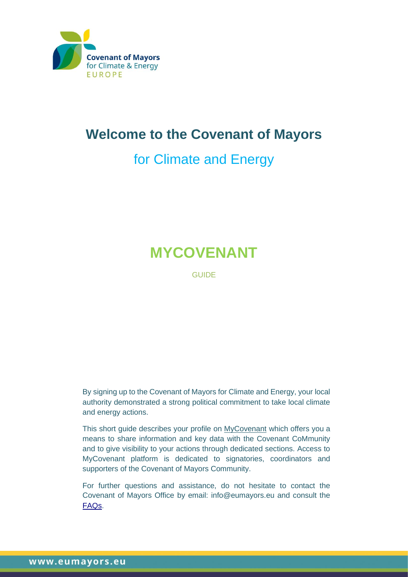

## **Welcome to the Covenant of Mayors**

# for Climate and Energy

# **MYCOVENANT**

**GUIDE** 

By signing up to the Covenant of Mayors for Climate and Energy, your local authority demonstrated a strong political commitment to take local climate and energy actions.

This short guide describes your profile on [MyCovenant](http://mycovenant.eumayors.eu/) which offers you a means to share information and key data with the Covenant CoMmunity and to give visibility to your actions through dedicated sections. Access to MyCovenant platform is dedicated to signatories, coordinators and supporters of the Covenant of Mayors Community.

For further questions and assistance, do not hesitate to contact the Covenant of Mayors Office by email: info@eumayors.eu and consult the [FAQs.](https://eumayors.eu/support/faq.html)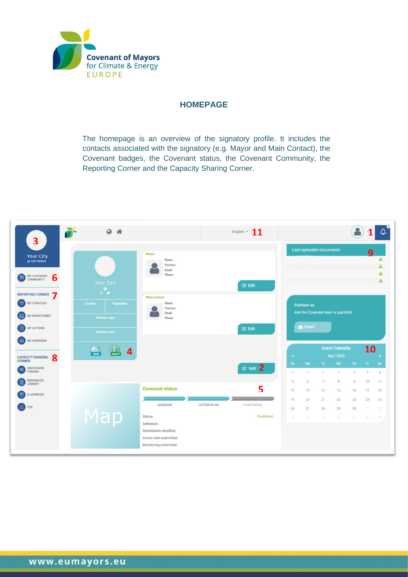

#### **HOMEPAGE**

The homepage is an overview of the signatory profile. It includes the contacts associated with the signatory (e.g. Mayor and Main Contact), the Covenant badges, the Covenant status, the Covenant Community, the Reporting Corner and the Capacity Sharing Corner.

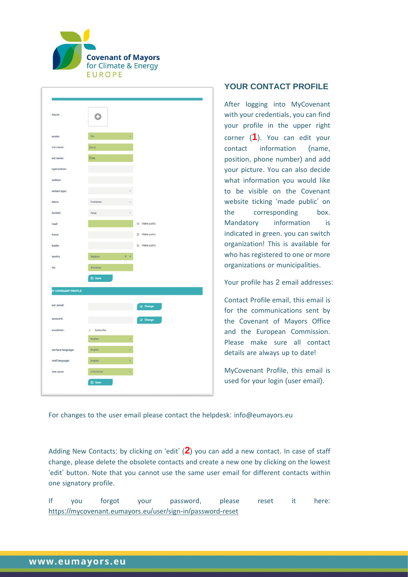

| <b>Scture:</b>      | $\bullet$      |                                            |               |
|---------------------|----------------|--------------------------------------------|---------------|
| lender:             | Ma.            |                                            |               |
| irst name:          | Jane           |                                            |               |
| ast name:           | Doe            |                                            |               |
| rganisation:        |                |                                            |               |
| :noition            |                |                                            |               |
| ontact type:        |                |                                            |               |
| tatus:              | Published      |                                            |               |
| locked:             | False          |                                            |               |
| mail:               |                |                                            | D Make public |
| hone:               |                |                                            | D Make public |
| fobile:             |                |                                            | D Make public |
| lountry             | Balgium        | $\,$ $\,$ $\,$<br>$\overline{\phantom{a}}$ |               |
| ity:                | Brunsites      |                                            |               |
|                     | <b>El Save</b> |                                            |               |
| IY COVENANT PROFILE |                |                                            |               |
| ser email:          |                |                                            | LZ Change     |
| assword:            |                |                                            | Le Change     |
| lewsletter:         | · Subscribe    |                                            |               |
|                     | English        |                                            |               |
| sterface language:  | English        |                                            |               |
| mail language:      | English        |                                            |               |
| ime zone:           | UTC+00.00      | v.                                         |               |

#### **YOUR CONTACT PROFILE**

After logging into MyCovenant with your credentials, you can find your profile in the upper right corner (**1**). You can edit your contact information (name, position, phone number) and add your picture. You can also decide what information you would like to be visible on the Covenant website ticking 'made public' on the corresponding box. Mandatory information is indicated in green. you can switch organization! This is available for who has registered to one or more organizations or municipalities.

Your profile has 2 email addresses:

Contact Profile email, this email is for the communications sent by the Covenant of Mayors Office and the European Commission. Please make sure all contact details are always up to date!

MyCovenant Profile, this email is used for your login (user email).

For changes to the user email please contact the helpdesk: info@eumayors.eu

Adding New Contacts: by clicking on 'edit' (**2**) you can add a new contact. In case of staff change, please delete the obsolete contacts and create a new one by clicking on the lowest 'edit' button. Note that you cannot use the same user email for different contacts within one signatory profile.

If you forgot your password, please reset it here: https://[mycovenant](https://mycovenant.eumayors.eu/user/sign-in/password-reset).eumayors.eu/user/sign-in/password-reset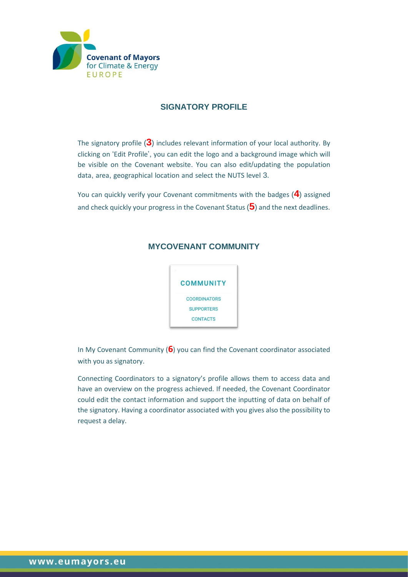

#### **SIGNATORY PROFILE**

The signatory profile (**3**) includes relevant information of your local authority. By clicking on 'Edit Profile', you can edit the logo and a background image which will be visible on the Covenant website. You can also edit/updating the population data, area, geographical location and select the NUTS level 3.

You can quickly verify your Covenant commitments with the badges (**4**) assigned and check quickly your progress in the Covenant Status (**5**) and the next deadlines.

#### **MYCOVENANT COMMUNITY**



In My Covenant Community (**6**) you can find the Covenant coordinator associated with you as signatory.

Connecting Coordinators to a signatory's profile allows them to access data and have an overview on the progress achieved. If needed, the Covenant Coordinator could edit the contact information and support the inputting of data on behalf of the signatory. Having a coordinator associated with you gives also the possibility to request a delay.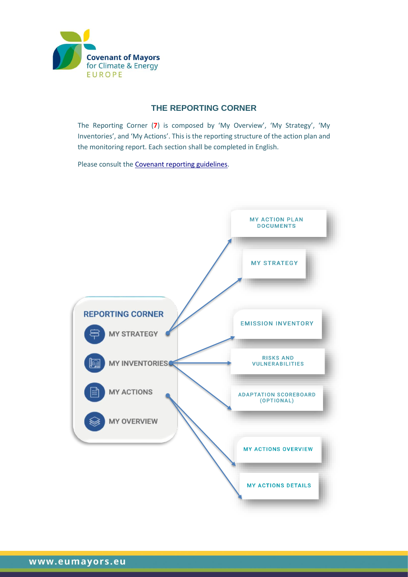

### **THE REPORTING CORNER**

The Reporting Corner (**7**) is composed by 'My Overview', 'My Strategy', 'My Inventories', and 'My Actions'. This is the reporting structure of the action plan and the monitoring report. Each section shall be completed in English.

Please consult the [Covenant reporting guidelines.](https://eumayors.eu/index.php?option=com_attachments&task=download&id=815)

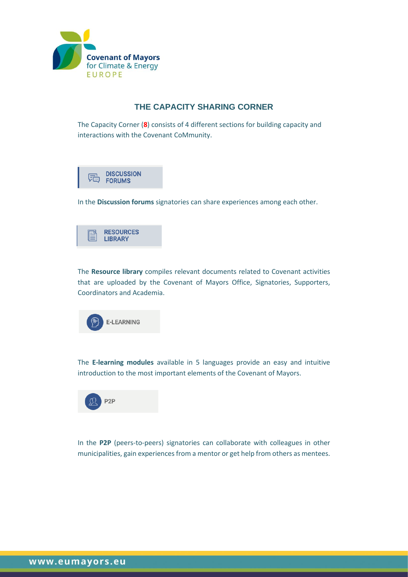

#### **THE CAPACITY SHARING CORNER**

The Capacity Corner (**8**) consists of 4 different sections for building capacity and interactions with the Covenant CoMmunity.



In the **Discussion forums** signatories can share experiences among each other.



The **Resource library** compiles relevant documents related to Covenant activities that are uploaded by the Covenant of Mayors Office, Signatories, Supporters, Coordinators and Academia.



The **E-learning modules** available in 5 languages provide an easy and intuitive introduction to the most important elements of the Covenant of Mayors.



In the **P2P** (peers-to-peers) signatories can collaborate with colleagues in other municipalities, gain experiences from a mentor or get help from others as mentees.